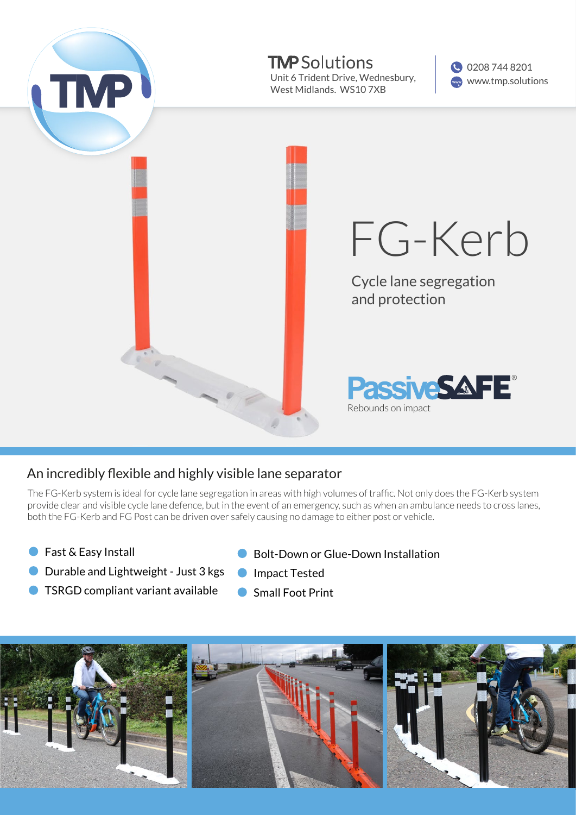

## An incredibly flexible and highly visible lane separator

The FG-Kerb system is ideal for cycle lane segregation in areas with high volumes of traffic. Not only does the FG-Kerb system provide clear and visible cycle lane defence, but in the event of an emergency, such as when an ambulance needs to cross lanes, both the FG-Kerb and FG Post can be driven over safely causing no damage to either post or vehicle.

● Fast & Easy Install

- Bolt-Down or Glue-Down Installation
- Durable and Lightweight Just 3 kgs
	- Impact Tested Small Foot Print
- **TSRGD compliant variant available**
-